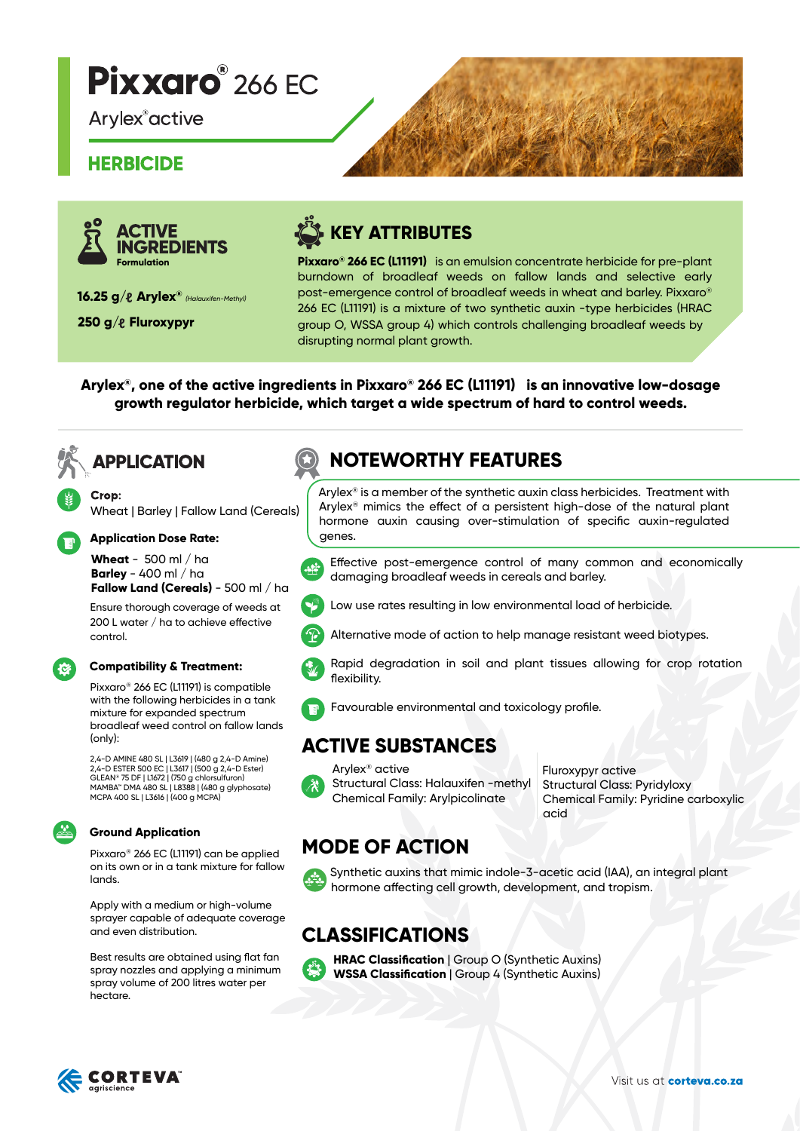# **Pixxaro** 266 EC

**Arylex**<sup>®</sup> active

#### **HERBICIDE**



**16.25 g/ Arylex®** *(Halauxifen-Methyl)* 

**250 g/& Fluroxypyr** 

# **KEY ATTRIBUTES**

**Pixxaro® 266 EC (L11191)** is an emulsion concentrate herbicide for pre-plant burndown of broadleaf weeds on fallow lands and selective early post-emergence control of broadleaf weeds in wheat and barley. Pixxaro® 266 EC (L11191) is a mixture of two synthetic auxin -type herbicides (HRAC group O, WSSA group 4) which controls challenging broadleaf weeds by disrupting normal plant growth.

**Arylex®, one of the active ingredients in Pixxaro® 266 EC (L11191) is an innovative low-dosage growth regulator herbicide, which target a wide spectrum of hard to control weeds.**

## **APPLICATION**

Crop: Wheat | Barley | Fallow Land (Cereals)

#### **Application Dose Rate:**

**Wheat** - 500 ml / ha **Barley** - 400 ml / ha **Fallow Land (Cereals)** - 500 ml / ha

Ensure thorough coverage of weeds at 200 L water  $/$  ha to achieve effective control.

#### **Compatibility & Treatment:** t.

Pixxaro® 266 EC (L11191) is compatible with the following herbicides in a tank mixture for expanded spectrum broadleaf weed control on fallow lands (only):

2,4-D AMINE 480 SL | L3619 | (480 g 2,4-D Amine) 2,4-D ESTER 500 EC | L3617 | (500 g 2,4-D Ester) GLEAN® 75 DF | L1672 | (750 g chlorsulfuron) MAMBA™ DMA 480 SL | L8388 | (480 g glyphosate) MCPA 400 SL | L3616 | (400 g MCPA)

#### **Ground Application**

Pixxaro® 266 EC (L11191) can be applied on its own or in a tank mixture for fallow lands.

Apply with a medium or high-volume sprayer capable of adequate coverage and even distribution.

Best results are obtained using flat fan spray nozzles and applying a minimum spray volume of 200 litres water per hectare.

### **NOTEWORTHY FEATURES**

Arylex<sup>®</sup> is a member of the synthetic auxin class herbicides. Treatment with Arylex® mimics the effect of a persistent high-dose of the natural plant hormone auxin causing over-stimulation of specific auxin-regulated genes.

Effective post-emergence control of many common and economically damaging broadleaf weeds in cereals and barley.



Low use rates resulting in low environmental load of herbicide.





Rapid degradation in soil and plant tissues allowing for crop rotation flexibility.

Alternative mode of action to help manage resistant weed biotypes.



#### **ACTIVE SUBSTANCES**

Arylex® active Structural Class: Halauxifen -methyl Chemical Family: Arylpicolinate

Fluroxypyr active Structural Class: Pyridyloxy Chemical Family: Pyridine carboxylic acid

### **MODE OF ACTION**



Synthetic auxins that mimic indole-3-acetic acid (IAA), an integral plant hormone affecting cell growth, development, and tropism.

#### **CLASSIFICATIONS**



**HRAC Classification** | Group O (Synthetic Auxins) **WSSA Classification** | Group 4 (Synthetic Auxins)